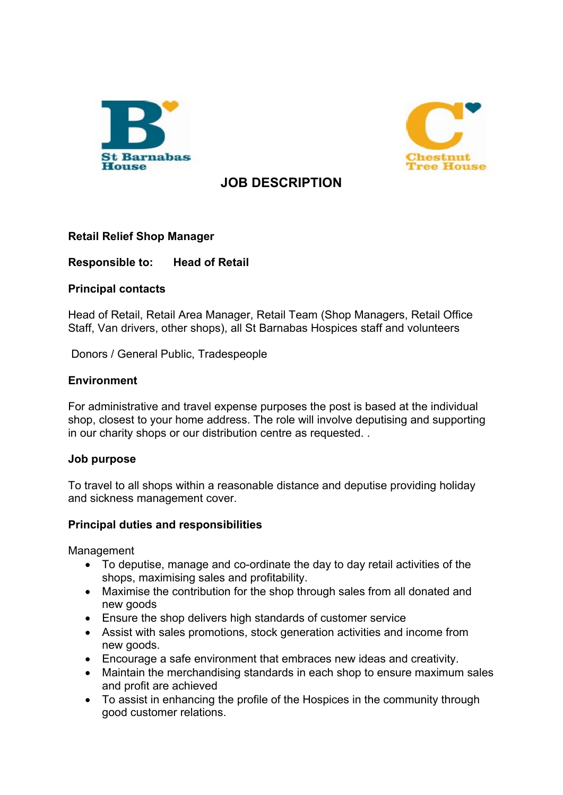



# **JOB DESCRIPTION**

## **Retail Relief Shop Manager**

## **Responsible to: Head of Retail**

## **Principal contacts**

Head of Retail, Retail Area Manager, Retail Team (Shop Managers, Retail Office Staff, Van drivers, other shops), all St Barnabas Hospices staff and volunteers

Donors / General Public, Tradespeople

## **Environment**

For administrative and travel expense purposes the post is based at the individual shop, closest to your home address. The role will involve deputising and supporting in our charity shops or our distribution centre as requested. .

## **Job purpose**

To travel to all shops within a reasonable distance and deputise providing holiday and sickness management cover.

## **Principal duties and responsibilities**

Management

- To deputise, manage and co-ordinate the day to day retail activities of the shops, maximising sales and profitability.
- Maximise the contribution for the shop through sales from all donated and new goods
- Ensure the shop delivers high standards of customer service
- Assist with sales promotions, stock generation activities and income from new goods.
- Encourage a safe environment that embraces new ideas and creativity.
- Maintain the merchandising standards in each shop to ensure maximum sales and profit are achieved
- To assist in enhancing the profile of the Hospices in the community through good customer relations.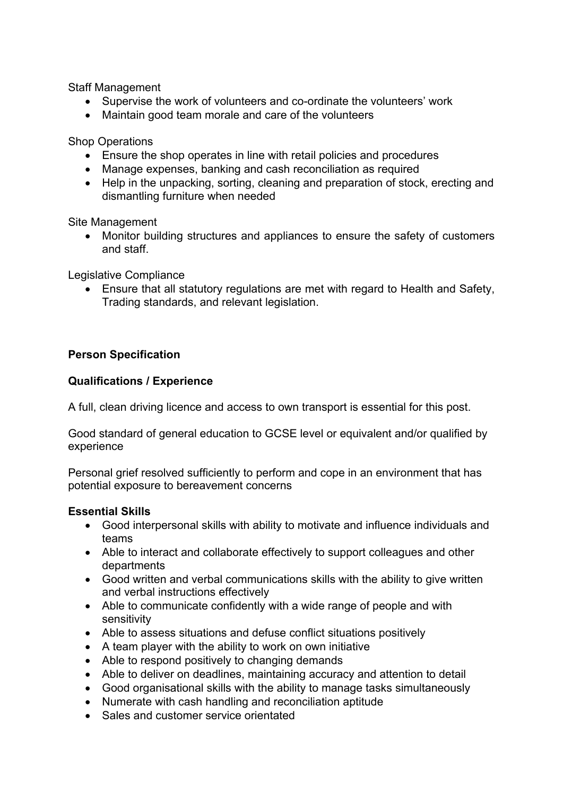Staff Management

- Supervise the work of volunteers and co-ordinate the volunteers' work
- Maintain good team morale and care of the volunteers

Shop Operations

- Ensure the shop operates in line with retail policies and procedures
- Manage expenses, banking and cash reconciliation as required
- Help in the unpacking, sorting, cleaning and preparation of stock, erecting and dismantling furniture when needed

Site Management

• Monitor building structures and appliances to ensure the safety of customers and staff.

Legislative Compliance

• Ensure that all statutory regulations are met with regard to Health and Safety, Trading standards, and relevant legislation.

## **Person Specification**

## **Qualifications / Experience**

A full, clean driving licence and access to own transport is essential for this post.

Good standard of general education to GCSE level or equivalent and/or qualified by experience

Personal grief resolved sufficiently to perform and cope in an environment that has potential exposure to bereavement concerns

## **Essential Skills**

- Good interpersonal skills with ability to motivate and influence individuals and teams
- Able to interact and collaborate effectively to support colleagues and other departments
- Good written and verbal communications skills with the ability to give written and verbal instructions effectively
- Able to communicate confidently with a wide range of people and with sensitivity
- Able to assess situations and defuse conflict situations positively
- A team player with the ability to work on own initiative
- Able to respond positively to changing demands
- Able to deliver on deadlines, maintaining accuracy and attention to detail
- Good organisational skills with the ability to manage tasks simultaneously
- Numerate with cash handling and reconciliation aptitude
- Sales and customer service orientated